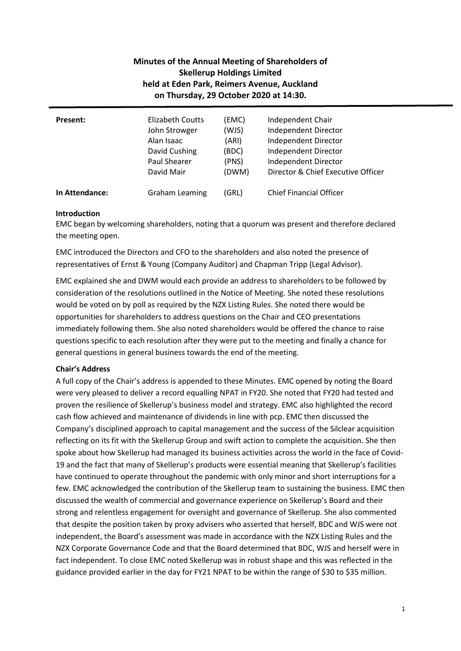# **Minutes of the Annual Meeting of Shareholders of Skellerup Holdings Limited held at Eden Park, Reimers Avenue, Auckland on Thursday, 29 October 2020 at 14:30.**

| <b>Present:</b> | Elizabeth Coutts      | (EMC) | Independent Chair                  |
|-----------------|-----------------------|-------|------------------------------------|
|                 | John Strowger         | (WJS) | Independent Director               |
|                 | Alan Isaac            | (ARI) | Independent Director               |
|                 | David Cushing         | (BDC) | Independent Director               |
|                 | <b>Paul Shearer</b>   | (PNS) | Independent Director               |
|                 | David Mair            | (DWM) | Director & Chief Executive Officer |
| In Attendance:  | <b>Graham Leaming</b> | (GRL) | <b>Chief Financial Officer</b>     |

### **Introduction**

EMC began by welcoming shareholders, noting that a quorum was present and therefore declared the meeting open.

EMC introduced the Directors and CFO to the shareholders and also noted the presence of representatives of Ernst & Young (Company Auditor) and Chapman Tripp (Legal Advisor).

EMC explained she and DWM would each provide an address to shareholders to be followed by consideration of the resolutions outlined in the Notice of Meeting. She noted these resolutions would be voted on by poll as required by the NZX Listing Rules. She noted there would be opportunities for shareholders to address questions on the Chair and CEO presentations immediately following them. She also noted shareholders would be offered the chance to raise questions specific to each resolution after they were put to the meeting and finally a chance for general questions in general business towards the end of the meeting.

## **Chair's Address**

A full copy of the Chair's address is appended to these Minutes. EMC opened by noting the Board were very pleased to deliver a record equalling NPAT in FY20. She noted that FY20 had tested and proven the resilience of Skellerup's business model and strategy. EMC also highlighted the record cash flow achieved and maintenance of dividends in line with pcp. EMC then discussed the Company's disciplined approach to capital management and the success of the Silclear acquisition reflecting on its fit with the Skellerup Group and swift action to complete the acquisition. She then spoke about how Skellerup had managed its business activities across the world in the face of Covid-19 and the fact that many of Skellerup's products were essential meaning that Skellerup's facilities have continued to operate throughout the pandemic with only minor and short interruptions for a few. EMC acknowledged the contribution of the Skellerup team to sustaining the business. EMC then discussed the wealth of commercial and governance experience on Skellerup's Board and their strong and relentless engagement for oversight and governance of Skellerup. She also commented that despite the position taken by proxy advisers who asserted that herself, BDC and WJS were not independent, the Board's assessment was made in accordance with the NZX Listing Rules and the NZX Corporate Governance Code and that the Board determined that BDC, WJS and herself were in fact independent. To close EMC noted Skellerup was in robust shape and this was reflected in the guidance provided earlier in the day for FY21 NPAT to be within the range of \$30 to \$35 million.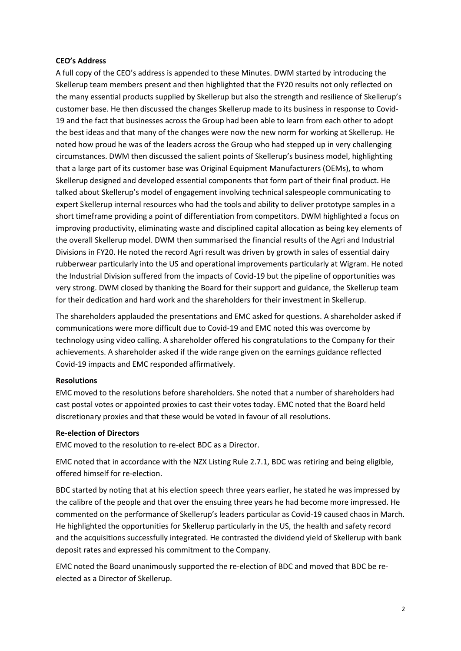#### **CEO's Address**

A full copy of the CEO's address is appended to these Minutes. DWM started by introducing the Skellerup team members present and then highlighted that the FY20 results not only reflected on the many essential products supplied by Skellerup but also the strength and resilience of Skellerup's customer base. He then discussed the changes Skellerup made to its business in response to Covid-19 and the fact that businesses across the Group had been able to learn from each other to adopt the best ideas and that many of the changes were now the new norm for working at Skellerup. He noted how proud he was of the leaders across the Group who had stepped up in very challenging circumstances. DWM then discussed the salient points of Skellerup's business model, highlighting that a large part of its customer base was Original Equipment Manufacturers (OEMs), to whom Skellerup designed and developed essential components that form part of their final product. He talked about Skellerup's model of engagement involving technical salespeople communicating to expert Skellerup internal resources who had the tools and ability to deliver prototype samples in a short timeframe providing a point of differentiation from competitors. DWM highlighted a focus on improving productivity, eliminating waste and disciplined capital allocation as being key elements of the overall Skellerup model. DWM then summarised the financial results of the Agri and Industrial Divisions in FY20. He noted the record Agri result was driven by growth in sales of essential dairy rubberwear particularly into the US and operational improvements particularly at Wigram. He noted the Industrial Division suffered from the impacts of Covid-19 but the pipeline of opportunities was very strong. DWM closed by thanking the Board for their support and guidance, the Skellerup team for their dedication and hard work and the shareholders for their investment in Skellerup.

The shareholders applauded the presentations and EMC asked for questions. A shareholder asked if communications were more difficult due to Covid-19 and EMC noted this was overcome by technology using video calling. A shareholder offered his congratulations to the Company for their achievements. A shareholder asked if the wide range given on the earnings guidance reflected Covid-19 impacts and EMC responded affirmatively.

### **Resolutions**

EMC moved to the resolutions before shareholders. She noted that a number of shareholders had cast postal votes or appointed proxies to cast their votes today. EMC noted that the Board held discretionary proxies and that these would be voted in favour of all resolutions.

### **Re-election of Directors**

EMC moved to the resolution to re-elect BDC as a Director.

EMC noted that in accordance with the NZX Listing Rule 2.7.1, BDC was retiring and being eligible, offered himself for re-election.

BDC started by noting that at his election speech three years earlier, he stated he was impressed by the calibre of the people and that over the ensuing three years he had become more impressed. He commented on the performance of Skellerup's leaders particular as Covid-19 caused chaos in March. He highlighted the opportunities for Skellerup particularly in the US, the health and safety record and the acquisitions successfully integrated. He contrasted the dividend yield of Skellerup with bank deposit rates and expressed his commitment to the Company.

EMC noted the Board unanimously supported the re-election of BDC and moved that BDC be reelected as a Director of Skellerup.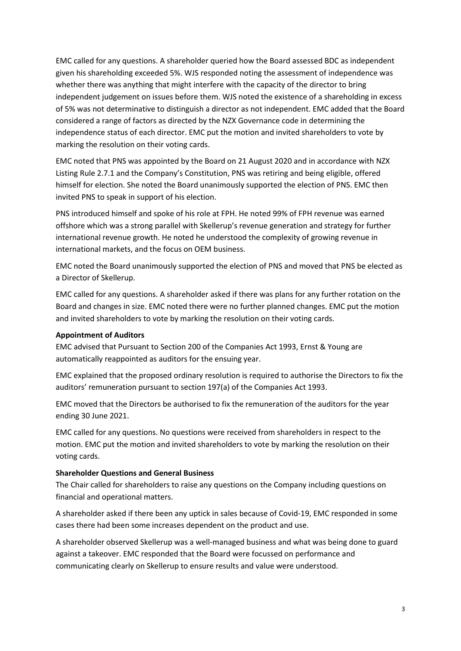EMC called for any questions. A shareholder queried how the Board assessed BDC as independent given his shareholding exceeded 5%. WJS responded noting the assessment of independence was whether there was anything that might interfere with the capacity of the director to bring independent judgement on issues before them. WJS noted the existence of a shareholding in excess of 5% was not determinative to distinguish a director as not independent. EMC added that the Board considered a range of factors as directed by the NZX Governance code in determining the independence status of each director. EMC put the motion and invited shareholders to vote by marking the resolution on their voting cards.

EMC noted that PNS was appointed by the Board on 21 August 2020 and in accordance with NZX Listing Rule 2.7.1 and the Company's Constitution, PNS was retiring and being eligible, offered himself for election. She noted the Board unanimously supported the election of PNS. EMC then invited PNS to speak in support of his election.

PNS introduced himself and spoke of his role at FPH. He noted 99% of FPH revenue was earned offshore which was a strong parallel with Skellerup's revenue generation and strategy for further international revenue growth. He noted he understood the complexity of growing revenue in international markets, and the focus on OEM business.

EMC noted the Board unanimously supported the election of PNS and moved that PNS be elected as a Director of Skellerup.

EMC called for any questions. A shareholder asked if there was plans for any further rotation on the Board and changes in size. EMC noted there were no further planned changes. EMC put the motion and invited shareholders to vote by marking the resolution on their voting cards.

### **Appointment of Auditors**

EMC advised that Pursuant to Section 200 of the Companies Act 1993, Ernst & Young are automatically reappointed as auditors for the ensuing year.

EMC explained that the proposed ordinary resolution is required to authorise the Directors to fix the auditors' remuneration pursuant to section 197(a) of the Companies Act 1993.

EMC moved that the Directors be authorised to fix the remuneration of the auditors for the year ending 30 June 2021.

EMC called for any questions. No questions were received from shareholders in respect to the motion. EMC put the motion and invited shareholders to vote by marking the resolution on their voting cards.

#### **Shareholder Questions and General Business**

The Chair called for shareholders to raise any questions on the Company including questions on financial and operational matters.

A shareholder asked if there been any uptick in sales because of Covid-19, EMC responded in some cases there had been some increases dependent on the product and use.

A shareholder observed Skellerup was a well-managed business and what was being done to guard against a takeover. EMC responded that the Board were focussed on performance and communicating clearly on Skellerup to ensure results and value were understood.